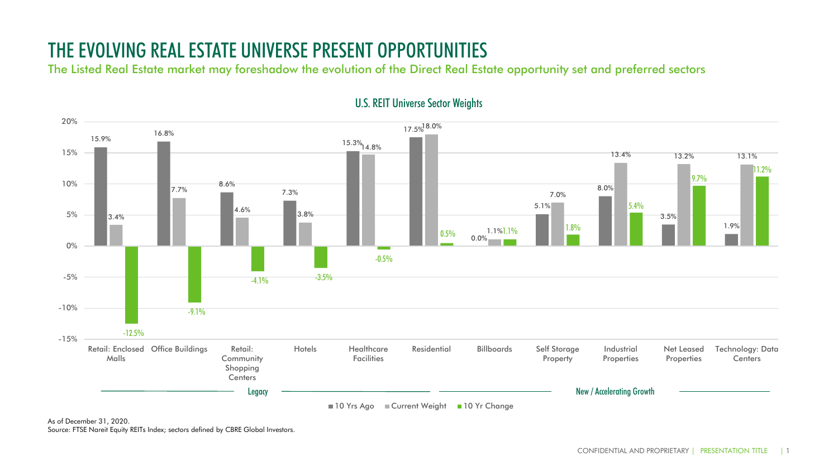## THE EVOLVING REAL ESTATE UNIVERSE PRESENT OPPORTUNITIES

The Listed Real Estate market may foreshadow the evolution of the Direct Real Estate opportunity set and preferred sectors



U.S. REIT Universe Sector Weights

As of December 31, 2020. Source: FTSE Nareit Equity REITs Index; sectors defined by CBRE Global Investors.